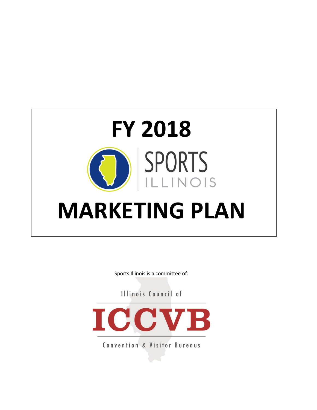

Sports Illinois is a committee of:

Illinois Council of



Convention & Visitor Bureaus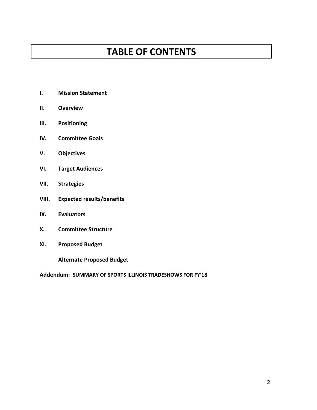# **TABLE OF CONTENTS**

- **I. Mission Statement**
- **II. Overview**
- **III. Positioning**
- **IV. Committee Goals**
- **V. Objectives**
- **VI. Target Audiences**
- **VII. Strategies**
- **VIII. Expected results/benefits**
- **IX. Evaluators**
- **X. Committee Structure**
- **XI. Proposed Budget**

**Alternate Proposed Budget**

**Addendum: SUMMARY OF SPORTS ILLINOIS TRADESHOWS FOR FY'18**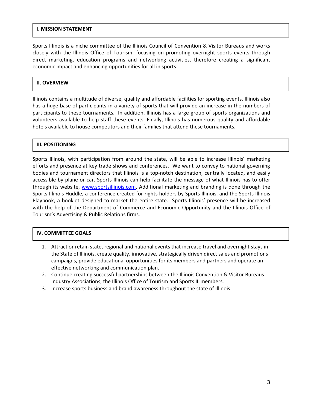#### **I. MISSION STATEMENT**

Sports Illinois is a niche committee of the Illinois Council of Convention & Visitor Bureaus and works closely with the Illinois Office of Tourism, focusing on promoting overnight sports events through direct marketing, education programs and networking activities, therefore creating a significant economic impact and enhancing opportunities for all in sports.

## **II. OVERVIEW**

Illinois contains a multitude of diverse, quality and affordable facilities for sporting events. Illinois also has a huge base of participants in a variety of sports that will provide an increase in the numbers of participants to these tournaments. In addition, Illinois has a large group of sports organizations and volunteers available to help staff these events. Finally, Illinois has numerous quality and affordable hotels available to house competitors and their families that attend these tournaments.

## **III. POSITIONING**

Sports Illinois, with participation from around the state, will be able to increase Illinois' marketing efforts and presence at key trade shows and conferences. We want to convey to national governing bodies and tournament directors that Illinois is a top-notch destination, centrally located, and easily accessible by plane or car. Sports Illinois can help facilitate the message of what Illinois has to offer through its website, [www.sportsillinois.com.](http://www.sportsillinois.com/) Additional marketing and branding is done through the Sports Illinois Huddle, a conference created for rights holders by Sports Illinois, and the Sports Illinois Playbook, a booklet designed to market the entire state. Sports Illinois' presence will be increased with the help of the Department of Commerce and Economic Opportunity and the Illinois Office of Tourism's Advertising & Public Relations firms.

#### **IV. COMMITTEE GOALS**

- 1. Attract or retain state, regional and national events that increase travel and overnight stays in the State of Illinois, create quality, innovative, strategically driven direct sales and promotions campaigns, provide educational opportunities for its members and partners and operate an effective networking and communication plan.
- 2. Continue creating successful partnerships between the Illinois Convention & Visitor Bureaus Industry Associations, the Illinois Office of Tourism and Sports IL members.
- 3. Increase sports business and brand awareness throughout the state of Illinois.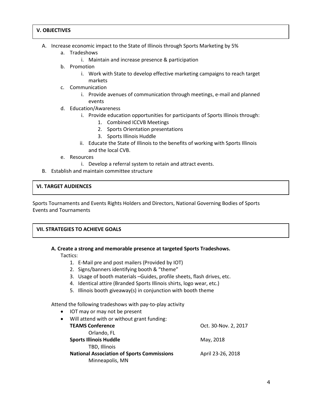#### **V. OBJECTIVES**

- A. Increase economic impact to the State of Illinois through Sports Marketing by 5%
	- a. Tradeshows
		- i. Maintain and increase presence & participation
	- b. Promotion
		- i. Work with State to develop effective marketing campaigns to reach target markets
	- c. Communication
		- i. Provide avenues of communication through meetings, e-mail and planned events
	- d. Education/Awareness
		- i. Provide education opportunities for participants of Sports Illinois through:
			- 1. Combined ICCVB Meetings
			- 2. Sports Orientation presentations
			- 3. Sports Illinois Huddle
		- ii. Educate the State of Illinois to the benefits of working with Sports Illinois and the local CVB.
	- e. Resources
		- i. Develop a referral system to retain and attract events.
- B. Establish and maintain committee structure

## **VI. TARGET AUDIENCES**

Sports Tournaments and Events Rights Holders and Directors, National Governing Bodies of Sports Events and Tournaments

#### **VII. STRATEGIES TO ACHIEVE GOALS**

#### **A. Create a strong and memorable presence at targeted Sports Tradeshows.**

Tactics:

- 1. E-Mail pre and post mailers (Provided by IOT)
- 2. Signs/banners identifying booth & "theme"
- 3. Usage of booth materials –Guides, profile sheets, flash drives, etc.
- 4. Identical attire (Branded Sports Illinois shirts, logo wear, etc.)
- 5. Illinois booth giveaway(s) in conjunction with booth theme

Attend the following tradeshows with pay-to-play activity

- IOT may or may not be present
- Will attend with or without grant funding: **TEAMS Conference** Oct. 30-Nov. 2, 2017 Orlando, FL **Sports Illinois Huddle** May, 2018 TBD, Illinois **National Association of Sports Commissions** April 23-26, 2018 Minneapolis, MN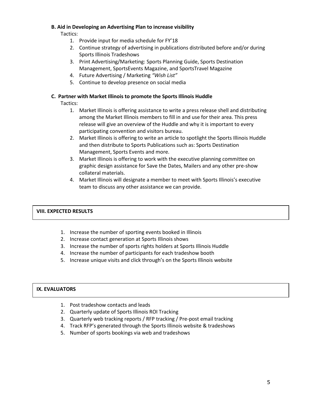#### **B. Aid in Developing an Advertising Plan to increase visibility**

Tactics:

- 1. Provide input for media schedule for FY'18
- 2. Continue strategy of advertising in publications distributed before and/or during Sports Illinois Tradeshows
- 3. Print Advertising/Marketing: Sports Planning Guide, Sports Destination Management, SportsEvents Magazine, and SportsTravel Magazine
- 4. Future Advertising / Marketing *"Wish List"*
- 5. Continue to develop presence on social media

## **C. Partner with Market Illinois to promote the Sports Illinois Huddle**

Tactics:

- 1. Market Illinois is offering assistance to write a press release shell and distributing among the Market Illinois members to fill in and use for their area. This press release will give an overview of the Huddle and why it is important to every participating convention and visitors bureau.
- 2. Market Illinois is offering to write an article to spotlight the Sports Illinois Huddle and then distribute to Sports Publications such as: Sports Destination Management, Sports Events and more.
- 3. Market Illinois is offering to work with the executive planning committee on graphic design assistance for Save the Dates, Mailers and any other pre-show collateral materials.
- 4. Market Illinois will designate a member to meet with Sports Illinois's executive team to discuss any other assistance we can provide.

## **VIII. EXPECTED RESULTS**

- 1. Increase the number of sporting events booked in Illinois
- 2. Increase contact generation at Sports Illinois shows
- 3. Increase the number of sports rights holders at Sports Illinois Huddle
- 4. Increase the number of participants for each tradeshow booth
- 5. Increase unique visits and click through's on the Sports Illinois website

## **IX. EVALUATORS**

- 1. Post tradeshow contacts and leads
- 2. Quarterly update of Sports Illinois ROI Tracking
- 3. Quarterly web tracking reports / RFP tracking / Pre-post email tracking
- 4. Track RFP's generated through the Sports Illinois website & tradeshows
- 5. Number of sports bookings via web and tradeshows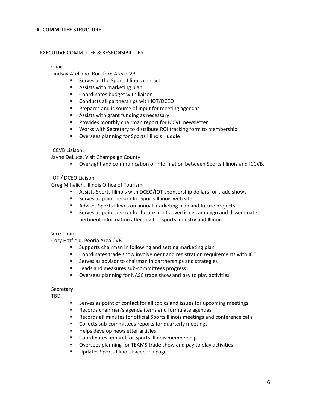#### **X. COMMITTEE STRUCTURE**

#### EXECUTIVE COMMITTEE & RESPONSIBILITIES

#### Chair:

Lindsay Arellano, Rockford Area CVB

- Serves as the Sports Illinois contact
- Assists with marketing plan
- Coordinates budget with liaison
- Conducts all partnerships with IOT/DCEO
- Prepares and is source of input for meeting agendas
- Assists with grant funding as necessary
- Provides monthly chairman report for ICCVB newsletter
- Works with Secretary to distribute ROI tracking form to membership
- Oversees planning for Sports Illinois Huddle

#### ICCVB Liaison:

Jayne DeLuce, Visit Champaign County

▪ Oversight and communication of information between Sports Illinois and ICCVB.

## IOT / DCEO Liaison

Greg Mihalich, Illinois Office of Tourism

- Assists Sports Illinois with DCEO/IOT sponsorship dollars for trade shows
- Serves as point person for Sports Illinois web site
- Advises Sports Illinois on annual marketing plan and future projects
- Serves as point person for future print advertising campaign and disseminate pertinent information affecting the sports industry and Illinois

#### Vice Chair:

Cory Hatfield, Peoria Area CVB

- Supports chairman in following and setting marketing plan
- Coordinates trade show involvement and registration requirements with IOT
- Serves as advisor to chairman in partnerships and strategies
- Leads and measures sub-committees progress
- Oversees planning for NASC trade show and pay to play activities

#### Secretary:

TBD

- Serves as point of contact for all topics and issues for upcoming meetings
- Records chairman's agenda items and formulate agendas
- Records all minutes for official Sports Illinois meetings and conference calls
- Collects sub-committees reports for quarterly meetings
- Helps develop newsletter articles
- Coordinates apparel for Sports Illinois membership
- Oversees planning for TEAMS trade show and pay to play activities
- Updates Sports Illinois Facebook page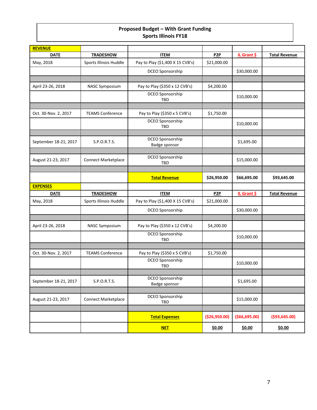# **Proposed Budget – With Grant Funding Sports Illinois FY18**

| <b>REVENUE</b>        |                            |                                   |                  |                 |                      |
|-----------------------|----------------------------|-----------------------------------|------------------|-----------------|----------------------|
| <b>DATE</b>           | <b>TRADESHOW</b>           | <b>ITEM</b>                       | P <sub>2</sub> P | IL Grant \$     | <b>Total Revenue</b> |
| May, 2018             | Sports Illinois Huddle     | Pay to Play (\$1,400 X 15 CVB's)  | \$21,000.00      |                 |                      |
|                       |                            | DCEO Sponsorship                  |                  | \$30,000.00     |                      |
|                       |                            |                                   |                  |                 |                      |
| April 23-26, 2018     | NASC Symposium             | Pay to Play (\$350 x 12 CVB's)    | \$4,200.00       |                 |                      |
|                       |                            | DCEO Sponsorship<br><b>TBD</b>    |                  | \$10,000.00     |                      |
|                       |                            |                                   |                  |                 |                      |
| Oct. 30-Nov. 2, 2017  | <b>TEAMS Conference</b>    | Pay to Play (\$350 x 5 CVB's)     | \$1,750.00       |                 |                      |
|                       |                            | DCEO Sponsorship<br><b>TBD</b>    |                  | \$10,000.00     |                      |
|                       |                            | DCEO Sponsorship                  |                  |                 |                      |
| September 18-21, 2017 | S.P.O.R.T.S.               | Badge sponsor                     |                  | \$1,695.00      |                      |
|                       |                            |                                   |                  |                 |                      |
| August 21-23, 2017    | <b>Connect Marketplace</b> | DCEO Sponsorship<br><b>TBD</b>    |                  | \$15,000.00     |                      |
|                       |                            |                                   |                  |                 |                      |
|                       |                            | <b>Total Revenue</b>              | \$26,950.00      | \$66,695.00     | \$93,645.00          |
| <b>EXPENSES</b>       |                            |                                   |                  |                 |                      |
| <b>DATE</b>           | <b>TRADESHOW</b>           | <b>ITEM</b>                       | P <sub>2</sub> P | IL Grant \$     | <b>Total Revenue</b> |
| May, 2018             | Sports Illinois Huddle     | Pay to Play (\$1,400 X 15 CVB's)  | \$21,000.00      |                 |                      |
|                       |                            | <b>DCEO Sponsorship</b>           |                  | \$30,000.00     |                      |
|                       |                            |                                   |                  |                 |                      |
| April 23-26, 2018     | <b>NASC Symposium</b>      | Pay to Play (\$350 x 12 CVB's)    | \$4,200.00       |                 |                      |
|                       |                            | DCEO Sponsorship<br><b>TBD</b>    |                  | \$10,000.00     |                      |
|                       |                            |                                   |                  |                 |                      |
| Oct. 30-Nov. 2, 2017  | <b>TEAMS Conference</b>    | Pay to Play (\$350 x 5 CVB's)     | \$1,750.00       |                 |                      |
|                       |                            | DCEO Sponsorship<br><b>TBD</b>    |                  | \$10,000.00     |                      |
|                       |                            |                                   |                  |                 |                      |
| September 18-21, 2017 | S.P.O.R.T.S.               | DCEO Sponsorship<br>Badge sponsor |                  | \$1,695.00      |                      |
|                       |                            |                                   |                  |                 |                      |
| August 21-23, 2017    | <b>Connect Marketplace</b> | DCEO Sponsorship<br>TBD           |                  | \$15,000.00     |                      |
|                       |                            |                                   |                  |                 |                      |
|                       |                            | <b>Total Expenses</b>             | ( \$26, 950.00)  | ( \$66, 695.00) | ( \$93, 645.00)      |
|                       |                            | <b>NET</b>                        | \$0.00           | \$0.00          | \$0.00               |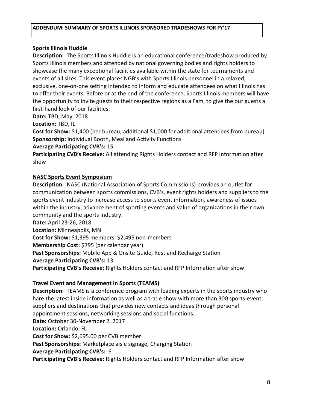# **Sports Illinois Huddle**

**Description:** The Sports Illinois Huddle is an educational conference/tradeshow produced by Sports Illinois members and attended by national governing bodies and rights holders to showcase the many exceptional facilities available within the state for tournaments and events of all sizes. This event places NGB's with Sports Illinois personnel in a relaxed, exclusive, one-on-one setting intended to inform and educate attendees on what Illinois has to offer their events. Before or at the end of the conference, Sports Illinois members will have the opportunity to invite guests to their respective regions as a Fam, to give the our guests a first-hand look of our facilities.

**Date:** TBD, May, 2018

**Location:** TBD, IL

**Cost for Show:** \$1,400 (per bureau, additional \$1,000 for additional attendees from bureau) **Sponsorship:** Individual Booth, Meal and Activity Functions

# **Average Participating CVB's:** 15

**Participating CVB's Receive:** All attending Rights Holders contact and RFP Information after show

# **NASC [Sports Event Symposium](http://www.nascsymposium.com/)**

**Description:** NASC (National Association of Sports Commissions) provides an outlet for communication between sports commissions, CVB's, event rights holders and suppliers to the sports event industry to increase access to sports event information, awareness of issues within the industry, advancement of sporting events and value of organizations in their own community and the sports industry.

**Date:** April 23-26, 2018

**Location:** Minneapolis, MN

**Cost for Show:** \$1,395 members, \$2,495 non-members

**Membership Cost:** \$795 (per calendar year)

**Past Sponsorships:** Mobile App & Onsite Guide, Rest and Recharge Station

## **Average Participating CVB's:** 13

**Participating CVB's Receive:** Rights Holders contact and RFP Information after show

# **Travel Event and Management in Sports (TEAMS)**

**Description**: TEAMS is a conference program with leading experts in the sports industry who hare the latest inside information as well as a trade show with more than 300 sports-event suppliers and destinations that provides new contacts and ideas through personal appointment sessions, networking sessions and social functions. **Date:** October 30-November 2, 2017 **Location:** Orlando, FL **Cost for Show:** \$2,695.00 per CVB member **Past Sponsorships:** Marketplace aisle signage, Charging Station **Average Participating CVB's:** 6 **Participating CVB's Receive:** Rights Holders contact and RFP Information after show